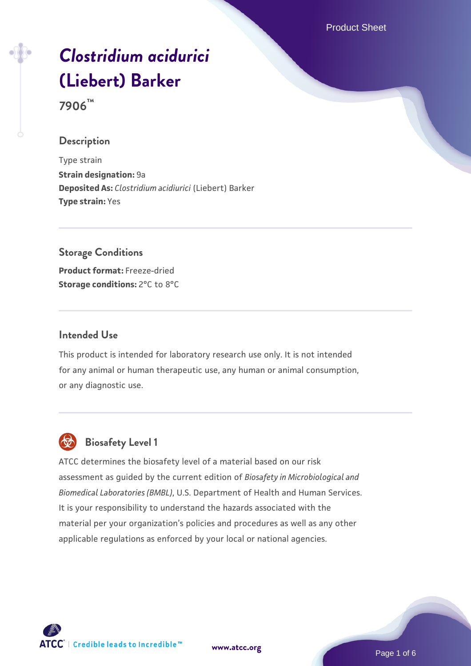Product Sheet

# *[Clostridium acidurici](https://www.atcc.org/products/7906)* **[\(Liebert\) Barker](https://www.atcc.org/products/7906)**

**7906™**

## **Description**

Type strain **Strain designation:** 9a **Deposited As:** *Clostridium acidiurici* (Liebert) Barker **Type strain:** Yes

## **Storage Conditions**

**Product format:** Freeze-dried **Storage conditions:** 2°C to 8°C

## **Intended Use**

This product is intended for laboratory research use only. It is not intended for any animal or human therapeutic use, any human or animal consumption, or any diagnostic use.



# **Biosafety Level 1**

ATCC determines the biosafety level of a material based on our risk assessment as guided by the current edition of *Biosafety in Microbiological and Biomedical Laboratories (BMBL)*, U.S. Department of Health and Human Services. It is your responsibility to understand the hazards associated with the material per your organization's policies and procedures as well as any other applicable regulations as enforced by your local or national agencies.

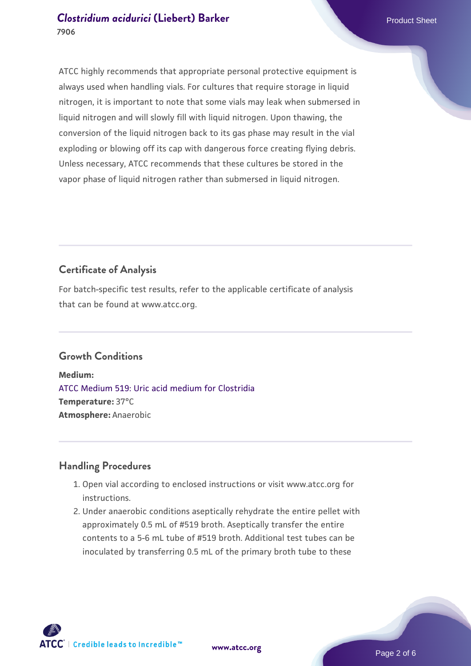# **[Clostridium acidurici](https://www.atcc.org/products/7906) [\(Liebert\) Barker](https://www.atcc.org/products/7906) Product Sheet Product Sheet 7906**

ATCC highly recommends that appropriate personal protective equipment is always used when handling vials. For cultures that require storage in liquid nitrogen, it is important to note that some vials may leak when submersed in liquid nitrogen and will slowly fill with liquid nitrogen. Upon thawing, the conversion of the liquid nitrogen back to its gas phase may result in the vial exploding or blowing off its cap with dangerous force creating flying debris. Unless necessary, ATCC recommends that these cultures be stored in the vapor phase of liquid nitrogen rather than submersed in liquid nitrogen.

# **Certificate of Analysis**

For batch-specific test results, refer to the applicable certificate of analysis that can be found at www.atcc.org.

# **Growth Conditions**

**Medium:**  [ATCC Medium 519: Uric acid medium for Clostridia](https://www.atcc.org/-/media/product-assets/documents/microbial-media-formulations/5/1/9/atcc-medium-519.pdf?rev=37d234dcb5e141f394014eebd1ee3b5f) **Temperature:** 37°C **Atmosphere:** Anaerobic

# **Handling Procedures**

- 1. Open vial according to enclosed instructions or visit www.atcc.org for instructions.
- 2. Under anaerobic conditions aseptically rehydrate the entire pellet with approximately 0.5 mL of #519 broth. Aseptically transfer the entire contents to a 5-6 mL tube of #519 broth. Additional test tubes can be inoculated by transferring 0.5 mL of the primary broth tube to these



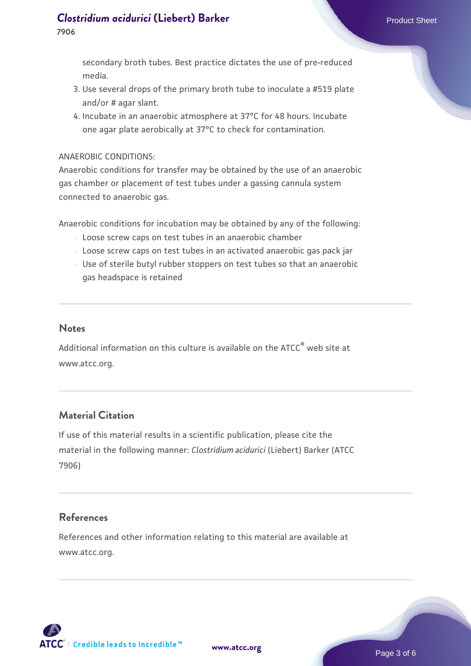#### **[Clostridium acidurici](https://www.atcc.org/products/7906) [\(Liebert\) Barker](https://www.atcc.org/products/7906) Product Sheet Product Sheet 7906**

secondary broth tubes. Best practice dictates the use of pre-reduced media.

- 3. Use several drops of the primary broth tube to inoculate a #519 plate and/or # agar slant.
- 4. Incubate in an anaerobic atmosphere at 37°C for 48 hours. Incubate one agar plate aerobically at 37°C to check for contamination.

#### ANAEROBIC CONDITIONS:

Anaerobic conditions for transfer may be obtained by the use of an anaerobic gas chamber or placement of test tubes under a gassing cannula system connected to anaerobic gas.

Anaerobic conditions for incubation may be obtained by any of the following:

- Loose screw caps on test tubes in an anaerobic chamber
- Loose screw caps on test tubes in an activated anaerobic gas pack jar
- Use of sterile butyl rubber stoppers on test tubes so that an anaerobic gas headspace is retained

## **Notes**

Additional information on this culture is available on the ATCC® web site at www.atcc.org.

## **Material Citation**

If use of this material results in a scientific publication, please cite the material in the following manner: *Clostridium acidurici* (Liebert) Barker (ATCC 7906)

## **References**

References and other information relating to this material are available at www.atcc.org.

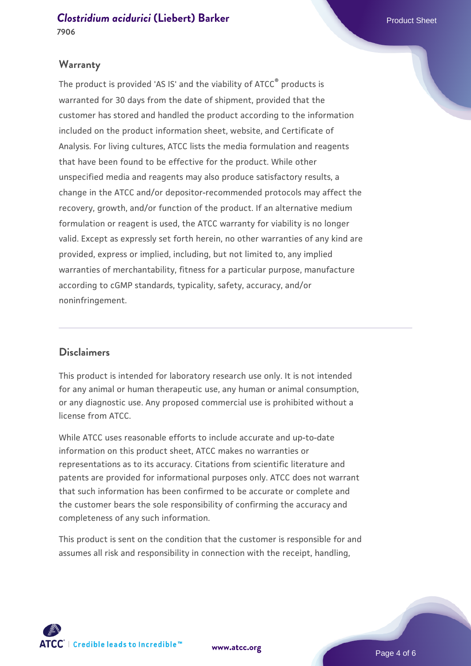## **Warranty**

The product is provided 'AS IS' and the viability of ATCC® products is warranted for 30 days from the date of shipment, provided that the customer has stored and handled the product according to the information included on the product information sheet, website, and Certificate of Analysis. For living cultures, ATCC lists the media formulation and reagents that have been found to be effective for the product. While other unspecified media and reagents may also produce satisfactory results, a change in the ATCC and/or depositor-recommended protocols may affect the recovery, growth, and/or function of the product. If an alternative medium formulation or reagent is used, the ATCC warranty for viability is no longer valid. Except as expressly set forth herein, no other warranties of any kind are provided, express or implied, including, but not limited to, any implied warranties of merchantability, fitness for a particular purpose, manufacture according to cGMP standards, typicality, safety, accuracy, and/or noninfringement.

## **Disclaimers**

This product is intended for laboratory research use only. It is not intended for any animal or human therapeutic use, any human or animal consumption, or any diagnostic use. Any proposed commercial use is prohibited without a license from ATCC.

While ATCC uses reasonable efforts to include accurate and up-to-date information on this product sheet, ATCC makes no warranties or representations as to its accuracy. Citations from scientific literature and patents are provided for informational purposes only. ATCC does not warrant that such information has been confirmed to be accurate or complete and the customer bears the sole responsibility of confirming the accuracy and completeness of any such information.

This product is sent on the condition that the customer is responsible for and assumes all risk and responsibility in connection with the receipt, handling,



**[www.atcc.org](http://www.atcc.org)**

Page 4 of 6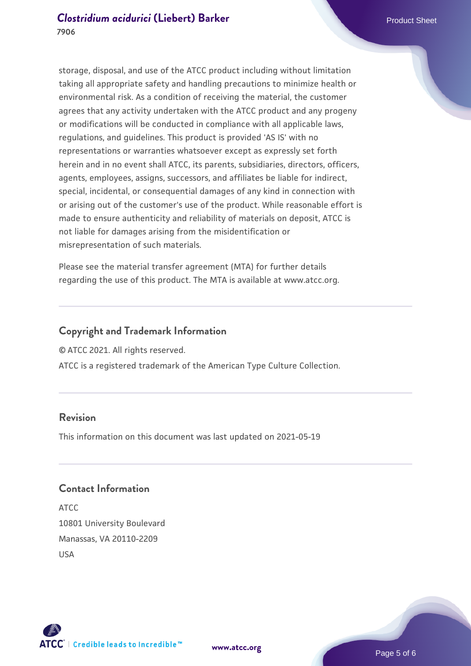storage, disposal, and use of the ATCC product including without limitation taking all appropriate safety and handling precautions to minimize health or environmental risk. As a condition of receiving the material, the customer agrees that any activity undertaken with the ATCC product and any progeny or modifications will be conducted in compliance with all applicable laws, regulations, and guidelines. This product is provided 'AS IS' with no representations or warranties whatsoever except as expressly set forth herein and in no event shall ATCC, its parents, subsidiaries, directors, officers, agents, employees, assigns, successors, and affiliates be liable for indirect, special, incidental, or consequential damages of any kind in connection with or arising out of the customer's use of the product. While reasonable effort is made to ensure authenticity and reliability of materials on deposit, ATCC is not liable for damages arising from the misidentification or misrepresentation of such materials.

Please see the material transfer agreement (MTA) for further details regarding the use of this product. The MTA is available at www.atcc.org.

# **Copyright and Trademark Information**

© ATCC 2021. All rights reserved.

ATCC is a registered trademark of the American Type Culture Collection.

# **Revision**

This information on this document was last updated on 2021-05-19

# **Contact Information**

ATCC 10801 University Boulevard Manassas, VA 20110-2209 USA